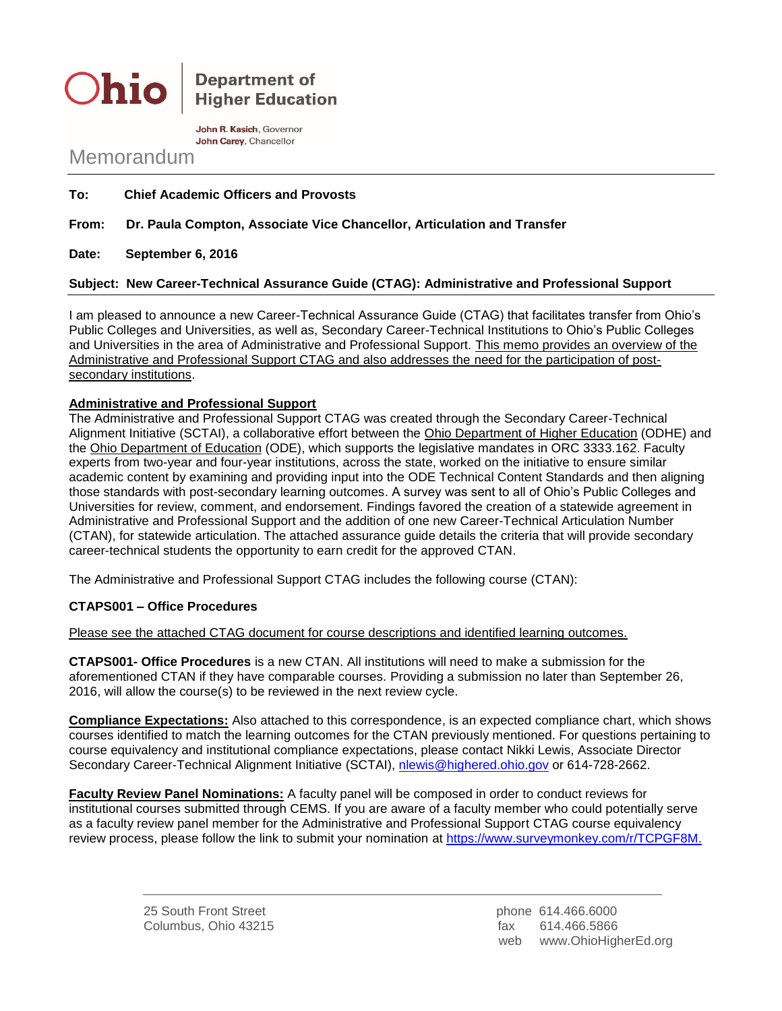

**Department of Higher Education** 

John R. Kasich, Governor John Carev. Chancellor

# Memorandum

**To: Chief Academic Officers and Provosts**

### **From: Dr. Paula Compton, Associate Vice Chancellor, Articulation and Transfer**

**Date: September 6, 2016**

#### **Subject: New Career-Technical Assurance Guide (CTAG): Administrative and Professional Support**

I am pleased to announce a new Career-Technical Assurance Guide (CTAG) that facilitates transfer from Ohio's Public Colleges and Universities, as well as, Secondary Career-Technical Institutions to Ohio's Public Colleges and Universities in the area of Administrative and Professional Support. This memo provides an overview of the Administrative and Professional Support CTAG and also addresses the need for the participation of postsecondary institutions.

#### **Administrative and Professional Support**

The Administrative and Professional Support CTAG was created through the Secondary Career-Technical Alignment Initiative (SCTAI), a collaborative effort between the Ohio Department of Higher Education (ODHE) and the Ohio Department of Education (ODE), which supports the legislative mandates in ORC 3333.162. Faculty experts from two-year and four-year institutions, across the state, worked on the initiative to ensure similar academic content by examining and providing input into the ODE Technical Content Standards and then aligning those standards with post-secondary learning outcomes. A survey was sent to all of Ohio's Public Colleges and Universities for review, comment, and endorsement. Findings favored the creation of a statewide agreement in Administrative and Professional Support and the addition of one new Career-Technical Articulation Number (CTAN), for statewide articulation. The attached assurance guide details the criteria that will provide secondary career-technical students the opportunity to earn credit for the approved CTAN.

The Administrative and Professional Support CTAG includes the following course (CTAN):

## **CTAPS001 – Office Procedures**

Please see the attached CTAG document for course descriptions and identified learning outcomes.

**CTAPS001- Office Procedures** is a new CTAN. All institutions will need to make a submission for the aforementioned CTAN if they have comparable courses. Providing a submission no later than September 26, 2016, will allow the course(s) to be reviewed in the next review cycle.

**Compliance Expectations:** Also attached to this correspondence, is an expected compliance chart, which shows courses identified to match the learning outcomes for the CTAN previously mentioned. For questions pertaining to course equivalency and institutional compliance expectations, please contact Nikki Lewis, Associate Director Secondary Career-Technical Alignment Initiative (SCTAI), [nlewis@highered.ohio.gov](mailto:nlewis@highered.ohio.gov) or 614-728-2662.

**Faculty Review Panel Nominations:** A faculty panel will be composed in order to conduct reviews for institutional courses submitted through CEMS. If you are aware of a faculty member who could potentially serve as a faculty review panel member for the Administrative and Professional Support CTAG course equivalency review process, please follow the link to submit your nomination at [https://www.surveymonkey.com/r/TCPGF8M.](https://www.surveymonkey.com/r/TCPGF8M)